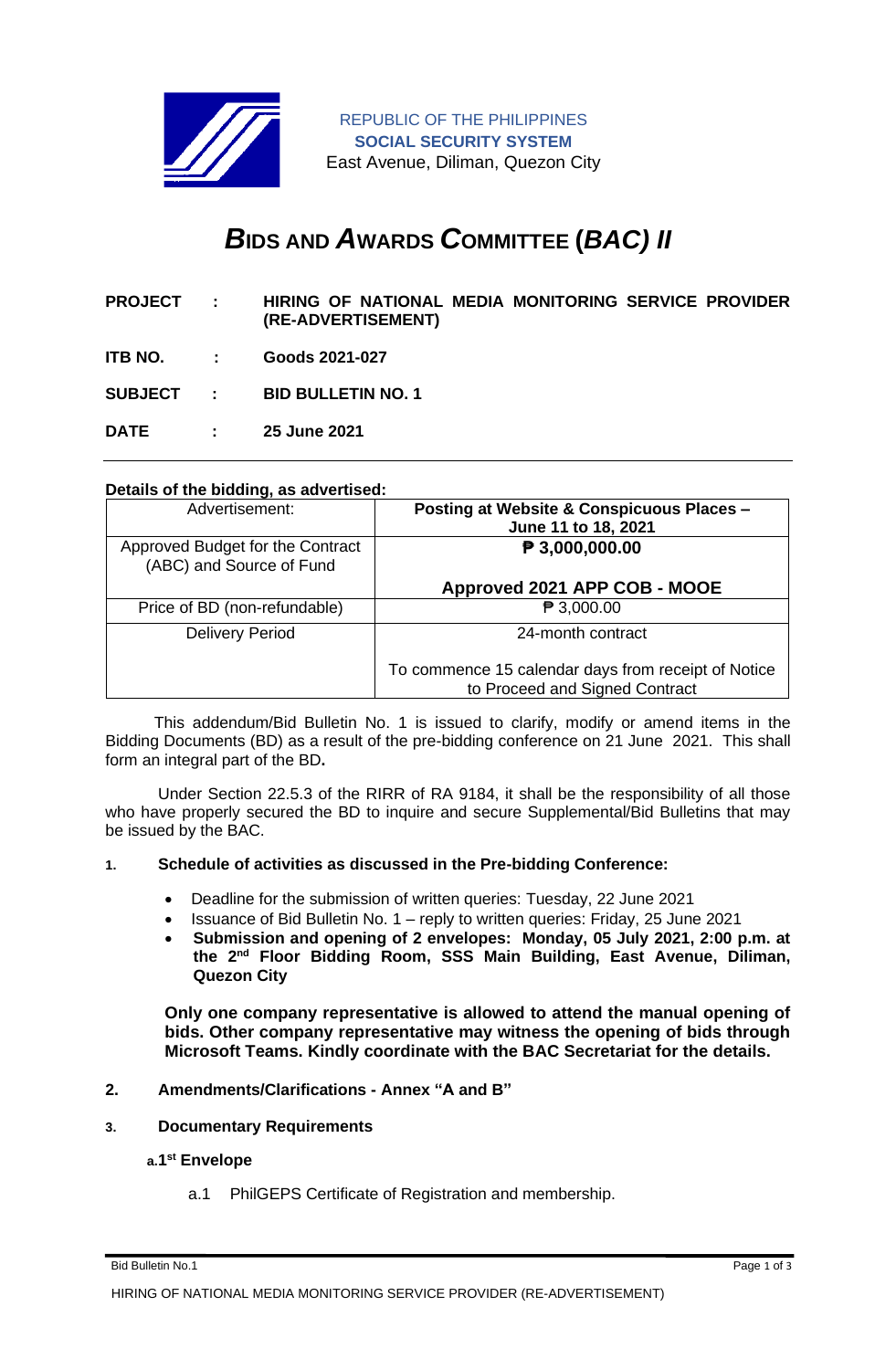

REPUBLIC OF THE PHILIPPINES **SOCIAL SECURITY SYSTEM** East Avenue, Diliman, Quezon City

# *B***IDS AND** *A***WARDS** *C***OMMITTEE (***BAC) II*

- **PROJECT : HIRING OF NATIONAL MEDIA MONITORING SERVICE PROVIDER (RE-ADVERTISEMENT)**
- **ITB NO. : Goods 2021-027**

**SUBJECT : BID BULLETIN NO. 1**

**DATE : 25 June 2021**

### **Details of the bidding, as advertised:**

| Advertisement:                                               | Posting at Website & Conspicuous Places -<br>June 11 to 18, 2021                      |
|--------------------------------------------------------------|---------------------------------------------------------------------------------------|
| Approved Budget for the Contract<br>(ABC) and Source of Fund | P 3,000,000.00                                                                        |
|                                                              | Approved 2021 APP COB - MOOE                                                          |
| Price of BD (non-refundable)                                 | $\mathbf{P}$ 3,000.00                                                                 |
| <b>Delivery Period</b>                                       | 24-month contract                                                                     |
|                                                              | To commence 15 calendar days from receipt of Notice<br>to Proceed and Signed Contract |

 This addendum/Bid Bulletin No. 1 is issued to clarify, modify or amend items in the Bidding Documents (BD) as a result of the pre-bidding conference on 21 June 2021. This shall form an integral part of the BD**.**

Under Section 22.5.3 of the RIRR of RA 9184, it shall be the responsibility of all those who have properly secured the BD to inquire and secure Supplemental/Bid Bulletins that may be issued by the BAC.

### **1. Schedule of activities as discussed in the Pre-bidding Conference:**

- Deadline for the submission of written queries: Tuesday, 22 June 2021
- Issuance of Bid Bulletin No. 1 reply to written queries: Friday, 25 June 2021
- **Submission and opening of 2 envelopes: Monday, 05 July 2021, 2:00 p.m. at the 2 nd Floor Bidding Room, SSS Main Building, East Avenue, Diliman, Quezon City**

**Only one company representative is allowed to attend the manual opening of bids. Other company representative may witness the opening of bids through Microsoft Teams. Kindly coordinate with the BAC Secretariat for the details.**

### **2. Amendments/Clarifications - Annex "A and B"**

**3. Documentary Requirements**

### **a.1 st Envelope**

a.1 PhilGEPS Certificate of Registration and membership.

Bid Bulletin No.1 Page 1 of 3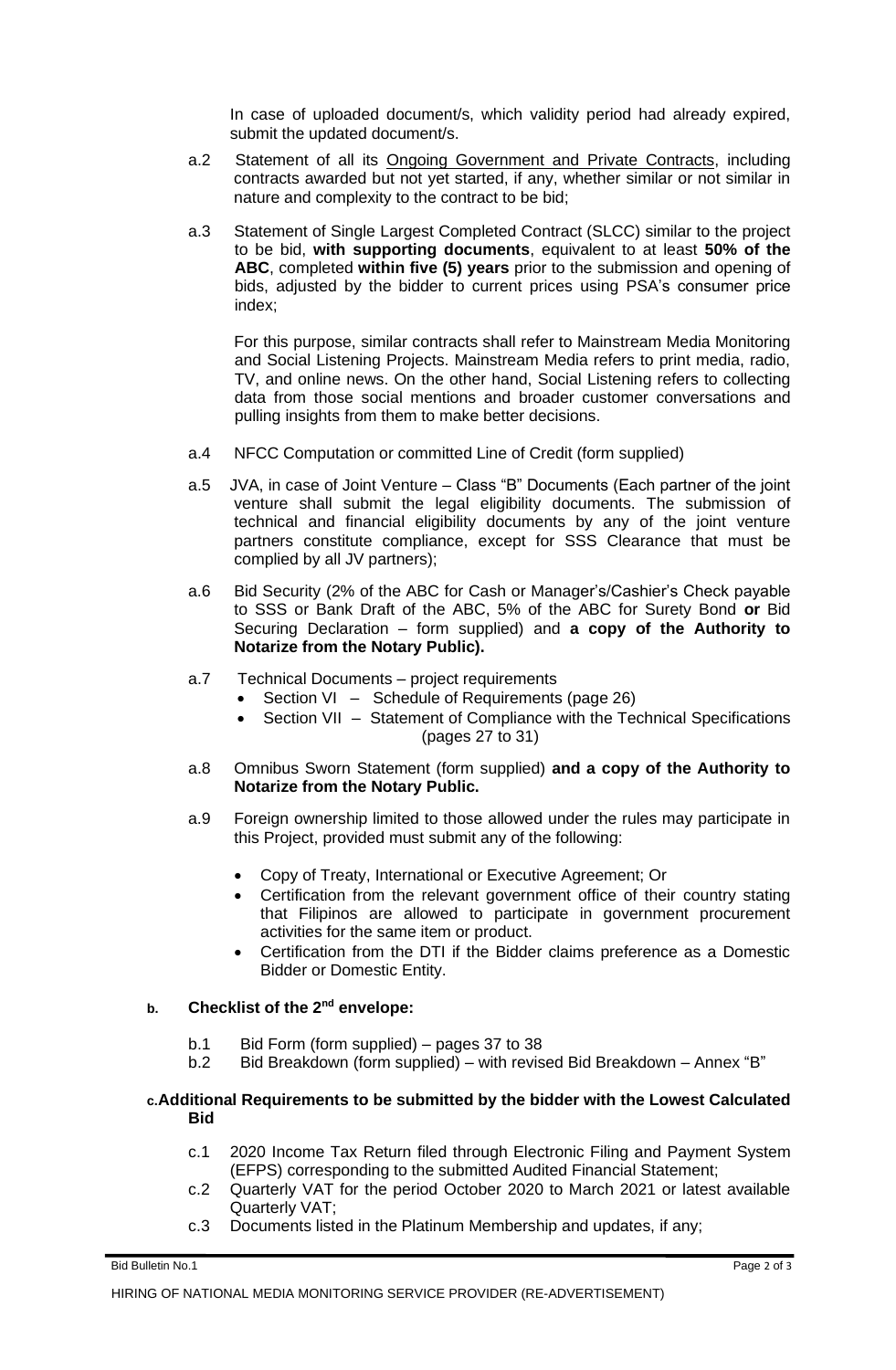In case of uploaded document/s, which validity period had already expired, submit the updated document/s.

- a.2 Statement of all its Ongoing Government and Private Contracts, including contracts awarded but not yet started, if any, whether similar or not similar in nature and complexity to the contract to be bid;
- a.3 Statement of Single Largest Completed Contract (SLCC) similar to the project to be bid, **with supporting documents**, equivalent to at least **50% of the ABC**, completed **within five (5) years** prior to the submission and opening of bids, adjusted by the bidder to current prices using PSA's consumer price index;

For this purpose, similar contracts shall refer to Mainstream Media Monitoring and Social Listening Projects. Mainstream Media refers to print media, radio, TV, and online news. On the other hand, Social Listening refers to collecting data from those social mentions and broader customer conversations and pulling insights from them to make better decisions.

- a.4 NFCC Computation or committed Line of Credit (form supplied)
- a.5 JVA, in case of Joint Venture Class "B" Documents (Each partner of the joint venture shall submit the legal eligibility documents. The submission of technical and financial eligibility documents by any of the joint venture partners constitute compliance, except for SSS Clearance that must be complied by all JV partners);
- a.6 Bid Security (2% of the ABC for Cash or Manager's/Cashier's Check payable to SSS or Bank Draft of the ABC, 5% of the ABC for Surety Bond **or** Bid Securing Declaration – form supplied) and **a copy of the Authority to Notarize from the Notary Public).**
- a.7 Technical Documents project requirements
	- Section VI Schedule of Requirements (page 26)
	- Section VII Statement of Compliance with the Technical Specifications (pages 27 to 31)
- a.8 Omnibus Sworn Statement (form supplied) **and a copy of the Authority to Notarize from the Notary Public.**
- a.9 Foreign ownership limited to those allowed under the rules may participate in this Project, provided must submit any of the following:
	- Copy of Treaty, International or Executive Agreement; Or
	- Certification from the relevant government office of their country stating that Filipinos are allowed to participate in government procurement activities for the same item or product.
	- Certification from the DTI if the Bidder claims preference as a Domestic Bidder or Domestic Entity.

## **b. Checklist of the 2nd envelope:**

- b.1 Bid Form (form supplied) pages 37 to 38
- b.2 Bid Breakdown (form supplied) with revised Bid Breakdown Annex "B"

#### **c.Additional Requirements to be submitted by the bidder with the Lowest Calculated Bid**

- c.1 2020 Income Tax Return filed through Electronic Filing and Payment System (EFPS) corresponding to the submitted Audited Financial Statement;
- c.2 Quarterly VAT for the period October 2020 to March 2021 or latest available Quarterly VAT;
- c.3 Documents listed in the Platinum Membership and updates, if any;

Bid Bulletin No.1 Page 2 of 3